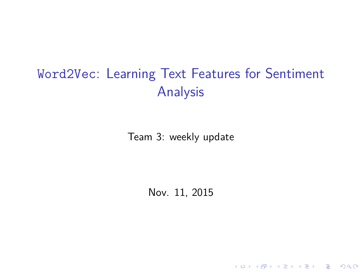# <span id="page-0-0"></span>Word2Vec: Learning Text Features for Sentiment Analysis

Team 3: weekly update

Nov. 11, 2015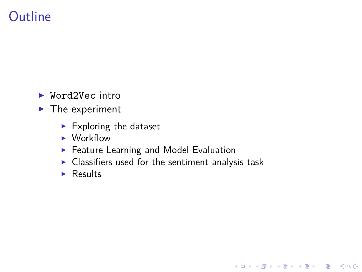# **Outline**

- $\blacktriangleright$  Word2Vec intro
- $\blacktriangleright$  The experiment
	- $\blacktriangleright$  Exploring the dataset
	- $\blacktriangleright$  Workflow
	- $\blacktriangleright$  Feature Learning and Model Evaluation
	- $\blacktriangleright$  Classifiers used for the sentiment analysis task

K ロ ▶ K 個 ▶ K 할 ▶ K 할 ▶ 이 할 → 9 Q Q →

 $\blacktriangleright$  Results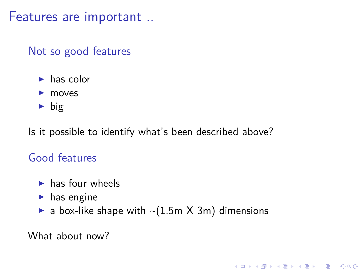Features are important ..

#### Not so good features

- $\blacktriangleright$  has color
- $\blacktriangleright$  moves
- $\blacktriangleright$  big

Is it possible to identify what's been described above?

### Good features

- $\blacktriangleright$  has four wheels
- $\blacktriangleright$  has engine
- a box-like shape with  $\sim$ (1.5m X 3m) dimensions

K ロ ▶ K 個 ▶ K 할 ▶ K 할 ▶ 이 할 → 9 Q Q →

What about now?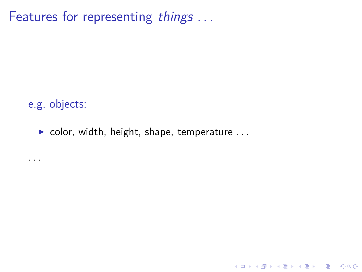Features for representing things ...

e.g. objects:

. . .

 $\triangleright$  color, width, height, shape, temperature ...

K ロ ▶ K 個 ▶ K 할 ▶ K 할 ▶ 이 할 → 9 Q Q →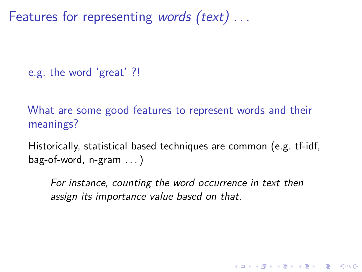Features for representing words (text) ...

e.g. the word 'great' ?!

What are some good features to represent words and their meanings?

Historically, statistical based techniques are common (e.g. tf-idf,  $bag-of-word$ , n-gram  $\dots$ )

For instance, counting the word occurrence in text then assign its importance value based on that.

KELK KØLK VELKEN EL 1990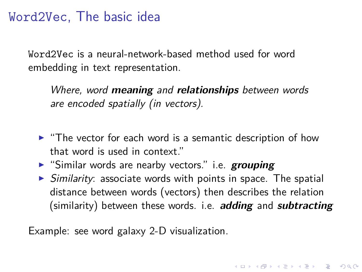## Word2Vec, The basic idea

Word2Vec is a neural-network-based method used for word embedding in text representation.

Where, word **meaning** and **relationships** between words are encoded spatially (in vectors).

- $\blacktriangleright$  "The vector for each word is a semantic description of how that word is used in context."
- **F** "Similar words are nearby vectors." i.e. **grouping**
- $\triangleright$  Similarity: associate words with points in space. The spatial distance between words (vectors) then describes the relation (similarity) between these words. i.e. **adding** and **subtracting**

Example: see [word galaxy](http://anthonygarvan.github.io/wordgalaxy/) 2-D visualization.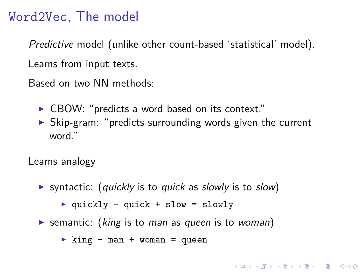## Word2Vec, The model

Predictive model (unlike other count-based 'statistical' model). Learns from input texts.

Based on two NN methods:

- $\triangleright$  CBOW: "predicts a word based on its context."
- $\triangleright$  Skip-gram: "predicts surrounding words given the current word."

**KORK ERKER ADAM ADA** 

Learns analogy

- syntactic: (quickly is to quick as slowly is to slow)
	- $\rightarrow$  quickly quick + slow = slowly
- Semantic: (king is to man as queen is to woman)

 $\triangleright$  king - man + woman = queen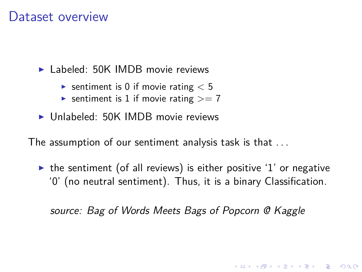### <span id="page-7-0"></span>Dataset overview

 $\blacktriangleright$  Labeled: 50K IMDB movie reviews

- Sentiment is 0 if movie rating  $< 5$
- Sentiment is 1 if movie rating  $>= 7$
- $\triangleright$  Unlabeled: 50K IMDB movie reviews

The assumption of our sentiment analysis task is that . . .

 $\triangleright$  the sentiment (of all reviews) is either positive '1' or negative '0' (no neutral sentiment). Thus, it is a binary Classification.

source: Bag of Words Meets Bags of Popcorn @ Kaggle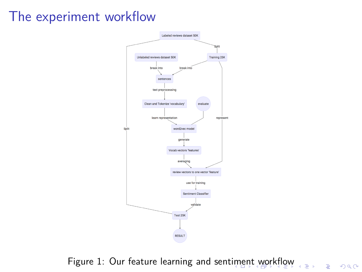# <span id="page-8-0"></span>The experiment workflow



Figure 1: [Our feature learning and sentiment workflow](https://dl.dropboxusercontent.com/u/12327637/test-files/diagram.html)

Ğ,

Ξ,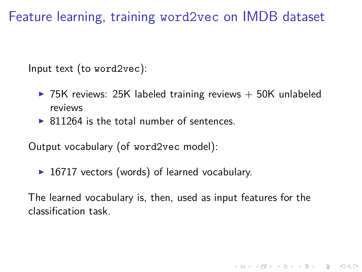<span id="page-9-0"></span>Feature learning, training word2vec on IMDB dataset

Input text (to word2vec):

- $\triangleright$  75K reviews: 25K labeled training reviews  $+$  50K unlabeled reviews
- $\triangleright$  811264 is the total number of sentences.

Output vocabulary (of word2vec model):

 $\triangleright$  16717 vectors (words) of learned vocabulary.

The learned vocabulary is, then, used as input features for the classification task.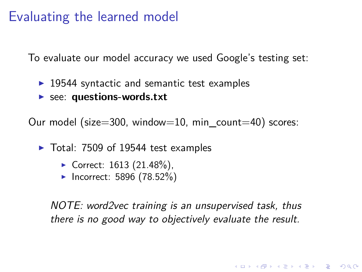## Evaluating the learned model

To evaluate our model accuracy we used Google's testing set:

- $\triangleright$  19544 syntactic and semantic test examples
- **F** see: **[questions-words.txt](https://word2vec.googlecode.com/svn/trunk/questions-words.txt)**

Our model (size=300, window=10, min\_count=40) scores:

- $\blacktriangleright$  Total: 7509 of 19544 test examples
	- Correct:  $1613$  (21.48%),
	- $\blacktriangleright$  Incorrect: 5896 (78.52%)

NOTE: word2vec training is an unsupervised task, thus there is no good way to objectively evaluate the result.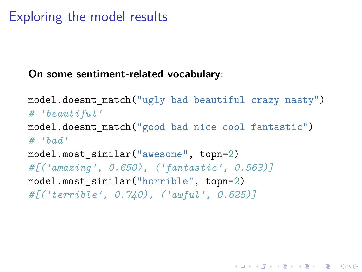# Exploring the model results

#### **On some sentiment-related vocabulary**:

```
model.doesnt_match("ugly bad beautiful crazy nasty")
# 'beautiful'
model.doesnt_match("good bad nice cool fantastic")
# 'bad'
model.most similar("awesome", topn=2)
#[('amazing', 0.650), ('fantastic', 0.563)]
model.most similar("horrible", topn=2)
#[('terrible', 0.740), ('awful', 0.625)]
```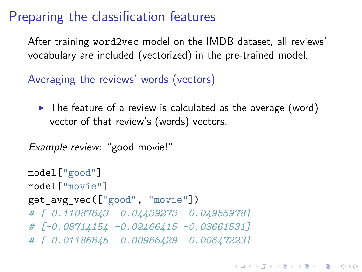# Preparing the classification features

After training word2vec model on the IMDB dataset, all reviews' vocabulary are included (vectorized) in the pre-trained model.

Averaging the reviews' words (vectors)

 $\triangleright$  The feature of a review is calculated as the average (word) vector of that review's (words) vectors.

```
Example review: "good movie!"
```

```
model["good"]
model["movie"]
get avg vec(["good", "movie"])
# [ 0.11087843 0.04439273 0.04955978]
# [-0.08714154 -0.02466415 -0.03661531]
# [ 0.01186845 0.00986429 0.00647223]
```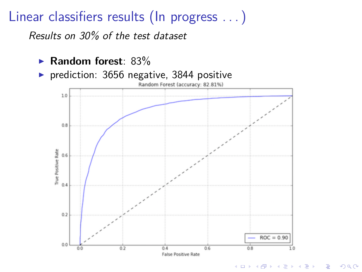# Linear classifiers results (In progress . . . )

Results on 30% of the test dataset

- <sup>I</sup> **Random forest**: 83%
- ▶ prediction: 3656 negative, 3844 positive, 32.81%



 $2990$ 

B

 $\left\{ \begin{array}{ccc} 1 & 0 & 0 \\ 0 & 1 & 0 \\ 0 & 0 & 0 \\ 0 & 0 & 0 \\ 0 & 0 & 0 \\ 0 & 0 & 0 \\ 0 & 0 & 0 \\ 0 & 0 & 0 \\ 0 & 0 & 0 \\ 0 & 0 & 0 \\ 0 & 0 & 0 \\ 0 & 0 & 0 \\ 0 & 0 & 0 \\ 0 & 0 & 0 & 0 \\ 0 & 0 & 0 & 0 \\ 0 & 0 & 0 & 0 \\ 0 & 0 & 0 & 0 & 0 \\ 0 & 0 & 0 & 0 & 0 \\ 0 & 0 & 0 & 0 & 0 \\ 0 & 0 & 0 & 0$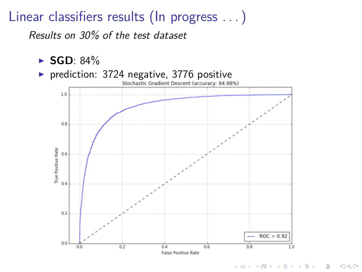# Linear classifiers results (In progress . . . )

Results on 30% of the test dataset

- $\blacktriangleright$  **SGD**: 84%
- ▶ prediction: 3724 negative, 3776 positive<br>Stochastic Gradient Descent (accuracy: 84.88%)



**KORK EXTERNE PROVIDE**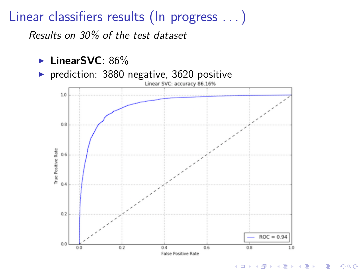# Linear classifiers results (In progress . . . )

Results on 30% of the test dataset

- ► LinearSVC: 86%
- ► prediction: 3880 negative, 3620 positive<br>
unear svc: accuracy 86.16%



 $2990$ 

 $\mathbf{A} \equiv \mathbf{A} + \mathbf{A} + \mathbf{B} + \mathbf{A} + \mathbf{B} + \mathbf{A} + \mathbf{B} + \mathbf{A} + \mathbf{B} + \mathbf{A} + \mathbf{B} + \mathbf{A} + \mathbf{B} + \mathbf{A} + \mathbf{B} + \mathbf{A} + \mathbf{B} + \mathbf{A} + \mathbf{B} + \mathbf{A} + \mathbf{B} + \mathbf{A} + \mathbf{B} + \mathbf{A} + \mathbf{B} + \mathbf{A} + \mathbf{B} + \mathbf{A} + \mathbf{B} + \mathbf{A} + \math$